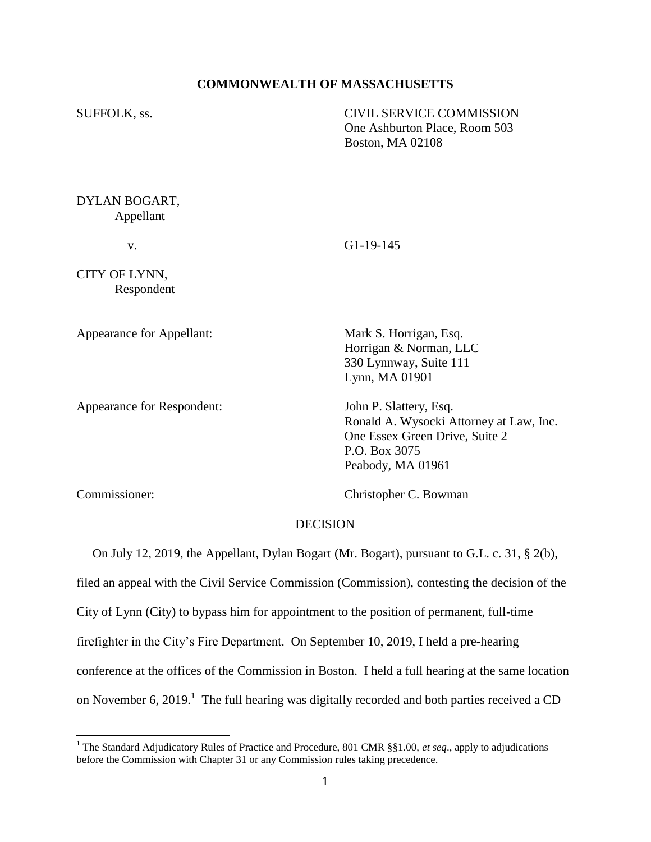### **COMMONWEALTH OF MASSACHUSETTS**

SUFFOLK, ss. CIVIL SERVICE COMMISSION One Ashburton Place, Room 503 Boston, MA 02108

DYLAN BOGART, Appellant

v. G1-19-145

CITY OF LYNN, Respondent

Appearance for Appellant: Mark S. Horrigan, Esq.

Appearance for Respondent: John P. Slattery, Esq.

Horrigan & Norman, LLC 330 Lynnway, Suite 111 Lynn, MA 01901

Ronald A. Wysocki Attorney at Law, Inc. One Essex Green Drive, Suite 2 P.O. Box 3075 Peabody, MA 01961

l

Commissioner: Christopher C. Bowman

### **DECISION**

On July 12, 2019, the Appellant, Dylan Bogart (Mr. Bogart), pursuant to G.L. c. 31, § 2(b),

filed an appeal with the Civil Service Commission (Commission), contesting the decision of the

City of Lynn (City) to bypass him for appointment to the position of permanent, full-time

firefighter in the City's Fire Department. On September 10, 2019, I held a pre-hearing

conference at the offices of the Commission in Boston. I held a full hearing at the same location

on November 6, 2019.<sup>1</sup> The full hearing was digitally recorded and both parties received a CD

<sup>&</sup>lt;sup>1</sup> The Standard Adjudicatory Rules of Practice and Procedure, 801 CMR §§1.00, *et seq.*, apply to adjudications before the Commission with Chapter 31 or any Commission rules taking precedence.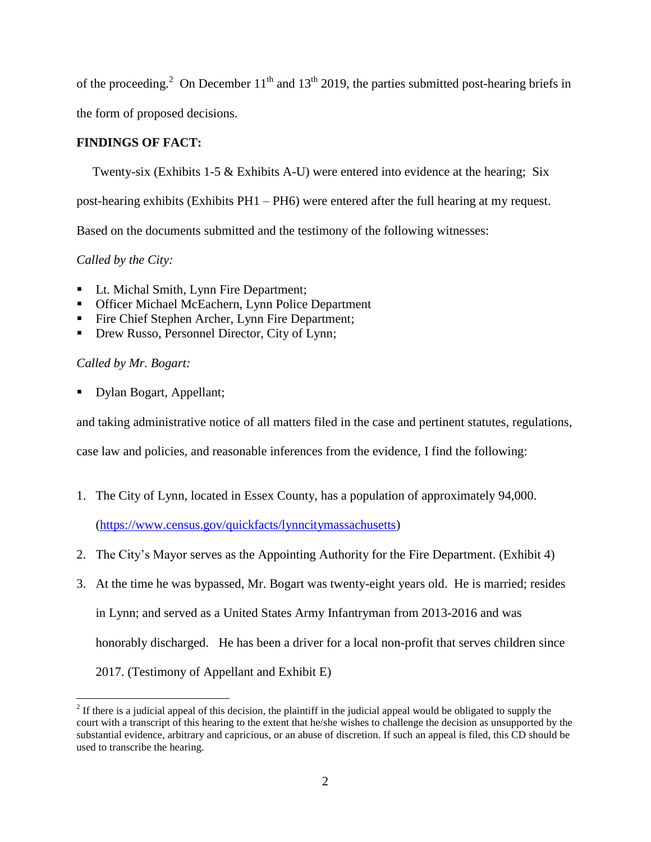of the proceeding.<sup>2</sup> On December  $11<sup>th</sup>$  and  $13<sup>th</sup>$  2019, the parties submitted post-hearing briefs in

the form of proposed decisions.

## **FINDINGS OF FACT:**

Twenty-six (Exhibits 1-5 & Exhibits A-U) were entered into evidence at the hearing; Six

post-hearing exhibits (Exhibits PH1 – PH6) were entered after the full hearing at my request.

Based on the documents submitted and the testimony of the following witnesses:

*Called by the City:*

- Lt. Michal Smith, Lynn Fire Department;
- **Officer Michael McEachern, Lynn Police Department**
- Fire Chief Stephen Archer, Lynn Fire Department;
- Drew Russo, Personnel Director, City of Lynn;

# *Called by Mr. Bogart:*

 $\overline{a}$ 

Dylan Bogart, Appellant;

and taking administrative notice of all matters filed in the case and pertinent statutes, regulations,

case law and policies, and reasonable inferences from the evidence, I find the following:

1. The City of Lynn, located in Essex County, has a population of approximately 94,000.

[\(https://www.census.gov/quickfacts/lynncitymassachusetts\)](https://www.census.gov/quickfacts/lynncitymassachusetts)

- 2. The City's Mayor serves as the Appointing Authority for the Fire Department. (Exhibit 4)
- 3. At the time he was bypassed, Mr. Bogart was twenty-eight years old. He is married; resides in Lynn; and served as a United States Army Infantryman from 2013-2016 and was honorably discharged. He has been a driver for a local non-profit that serves children since 2017. (Testimony of Appellant and Exhibit E)

 $2<sup>2</sup>$  If there is a judicial appeal of this decision, the plaintiff in the judicial appeal would be obligated to supply the court with a transcript of this hearing to the extent that he/she wishes to challenge the decision as unsupported by the substantial evidence, arbitrary and capricious, or an abuse of discretion. If such an appeal is filed, this CD should be used to transcribe the hearing.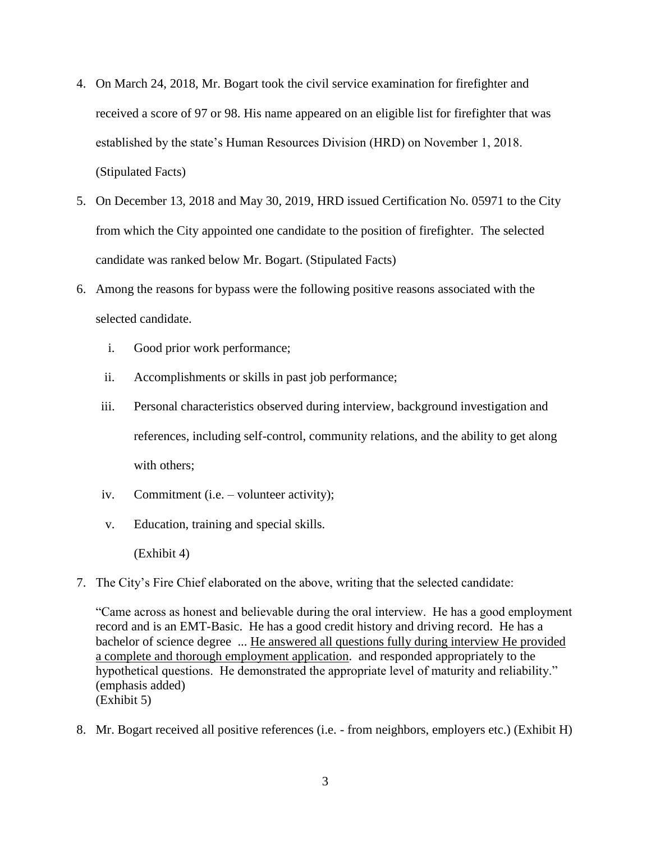- 4. On March 24, 2018, Mr. Bogart took the civil service examination for firefighter and received a score of 97 or 98. His name appeared on an eligible list for firefighter that was established by the state's Human Resources Division (HRD) on November 1, 2018. (Stipulated Facts)
- 5. On December 13, 2018 and May 30, 2019, HRD issued Certification No. 05971 to the City from which the City appointed one candidate to the position of firefighter. The selected candidate was ranked below Mr. Bogart. (Stipulated Facts)
- 6. Among the reasons for bypass were the following positive reasons associated with the selected candidate.
	- i. Good prior work performance;
	- ii. Accomplishments or skills in past job performance;
	- iii. Personal characteristics observed during interview, background investigation and references, including self-control, community relations, and the ability to get along with others:
	- iv. Commitment (i.e. volunteer activity);
	- v. Education, training and special skills.

(Exhibit 4)

7. The City's Fire Chief elaborated on the above, writing that the selected candidate:

"Came across as honest and believable during the oral interview. He has a good employment record and is an EMT-Basic. He has a good credit history and driving record. He has a bachelor of science degree ... He answered all questions fully during interview He provided a complete and thorough employment application. and responded appropriately to the hypothetical questions. He demonstrated the appropriate level of maturity and reliability." (emphasis added) (Exhibit 5)

8. Mr. Bogart received all positive references (i.e. - from neighbors, employers etc.) (Exhibit H)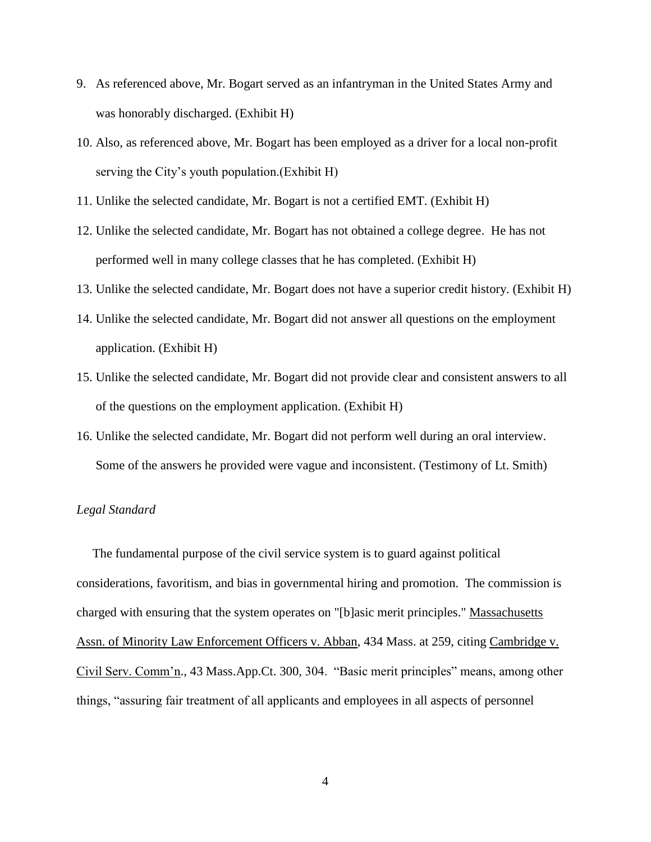- 9. As referenced above, Mr. Bogart served as an infantryman in the United States Army and was honorably discharged. (Exhibit H)
- 10. Also, as referenced above, Mr. Bogart has been employed as a driver for a local non-profit serving the City's youth population.(Exhibit H)
- 11. Unlike the selected candidate, Mr. Bogart is not a certified EMT. (Exhibit H)
- 12. Unlike the selected candidate, Mr. Bogart has not obtained a college degree. He has not performed well in many college classes that he has completed. (Exhibit H)
- 13. Unlike the selected candidate, Mr. Bogart does not have a superior credit history. (Exhibit H)
- 14. Unlike the selected candidate, Mr. Bogart did not answer all questions on the employment application. (Exhibit H)
- 15. Unlike the selected candidate, Mr. Bogart did not provide clear and consistent answers to all of the questions on the employment application. (Exhibit H)
- 16. Unlike the selected candidate, Mr. Bogart did not perform well during an oral interview. Some of the answers he provided were vague and inconsistent. (Testimony of Lt. Smith)

### *Legal Standard*

 The fundamental purpose of the civil service system is to guard against political considerations, favoritism, and bias in governmental hiring and promotion. The commission is charged with ensuring that the system operates on "[b]asic merit principles." Massachusetts Assn. of Minority Law Enforcement Officers v. Abban, 434 Mass. at 259, citing Cambridge v. Civil Serv. Comm'n., 43 Mass.App.Ct. 300, 304. "Basic merit principles" means, among other things, "assuring fair treatment of all applicants and employees in all aspects of personnel

4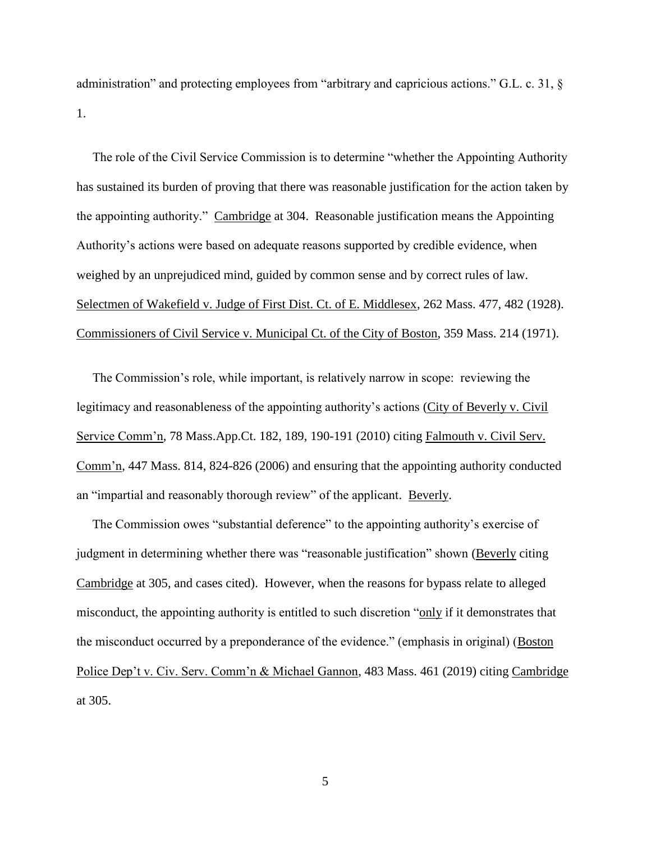administration" and protecting employees from "arbitrary and capricious actions." G.L. c. 31, § 1.

 The role of the Civil Service Commission is to determine "whether the Appointing Authority has sustained its burden of proving that there was reasonable justification for the action taken by the appointing authority." Cambridge at 304. Reasonable justification means the Appointing Authority's actions were based on adequate reasons supported by credible evidence, when weighed by an unprejudiced mind, guided by common sense and by correct rules of law. Selectmen of Wakefield v. Judge of First Dist. Ct. of E. Middlesex, 262 Mass. 477, 482 (1928). Commissioners of Civil Service v. Municipal Ct. of the City of Boston, 359 Mass. 214 (1971).

 The Commission's role, while important, is relatively narrow in scope: reviewing the legitimacy and reasonableness of the appointing authority's actions (City of Beverly v. Civil Service Comm'n, 78 Mass.App.Ct. 182, 189, 190-191 (2010) citing Falmouth v. Civil Serv. Comm'n, 447 Mass. 814, 824-826 (2006) and ensuring that the appointing authority conducted an "impartial and reasonably thorough review" of the applicant. Beverly.

 The Commission owes "substantial deference" to the appointing authority's exercise of judgment in determining whether there was "reasonable justification" shown (Beverly citing Cambridge at 305, and cases cited). However, when the reasons for bypass relate to alleged misconduct, the appointing authority is entitled to such discretion "only if it demonstrates that the misconduct occurred by a preponderance of the evidence." (emphasis in original) (Boston Police Dep't v. Civ. Serv. Comm'n & Michael Gannon, 483 Mass. 461 (2019) citing Cambridge at 305.

5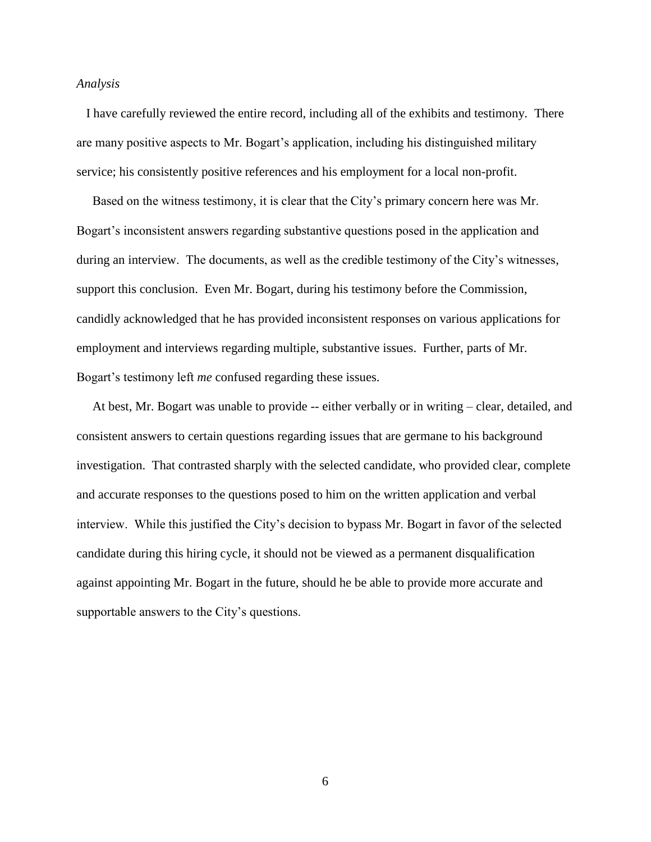#### *Analysis*

 I have carefully reviewed the entire record, including all of the exhibits and testimony. There are many positive aspects to Mr. Bogart's application, including his distinguished military service; his consistently positive references and his employment for a local non-profit.

 Based on the witness testimony, it is clear that the City's primary concern here was Mr. Bogart's inconsistent answers regarding substantive questions posed in the application and during an interview. The documents, as well as the credible testimony of the City's witnesses, support this conclusion. Even Mr. Bogart, during his testimony before the Commission, candidly acknowledged that he has provided inconsistent responses on various applications for employment and interviews regarding multiple, substantive issues. Further, parts of Mr. Bogart's testimony left *me* confused regarding these issues.

 At best, Mr. Bogart was unable to provide -- either verbally or in writing – clear, detailed, and consistent answers to certain questions regarding issues that are germane to his background investigation. That contrasted sharply with the selected candidate, who provided clear, complete and accurate responses to the questions posed to him on the written application and verbal interview. While this justified the City's decision to bypass Mr. Bogart in favor of the selected candidate during this hiring cycle, it should not be viewed as a permanent disqualification against appointing Mr. Bogart in the future, should he be able to provide more accurate and supportable answers to the City's questions.

6